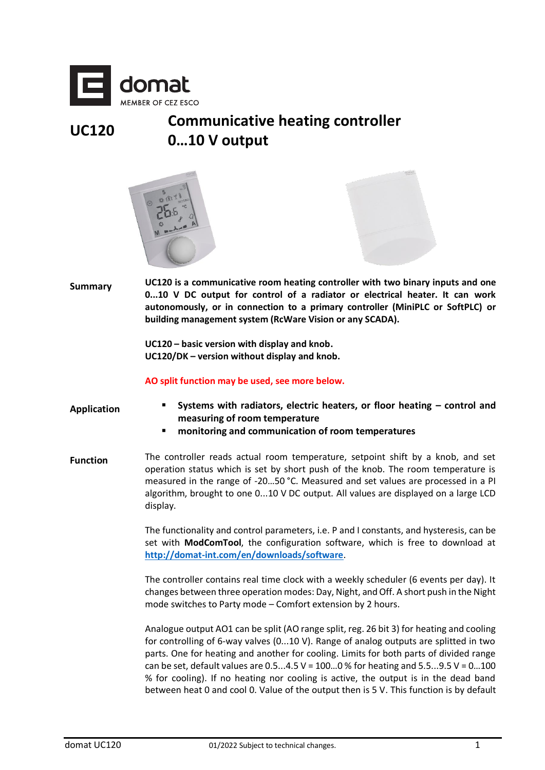

## **UC120 Communicative heating controller 0…10 V output**





**Summary UC120 is a communicative room heating controller with two binary inputs and one 0...10 V DC output for control of a radiator or electrical heater. It can work autonomously, or in connection to a primary controller (MiniPLC or SoftPLC) or building management system (RcWare Vision or any SCADA).**

> **UC120 – basic version with display and knob. UC120/DK – version without display and knob.**

**AO split function may be used, see more below.**

- **Application Systems with radiators, electric heaters, or floor heating – control and measuring of room temperature**
	- **monitoring and communication of room temperatures**
- **Function** The controller reads actual room temperature, setpoint shift by a knob, and set operation status which is set by short push of the knob. The room temperature is measured in the range of -20…50 °C. Measured and set values are processed in a PI algorithm, brought to one 0...10 V DC output. All values are displayed on a large LCD display.

The functionality and control parameters, i.e. P and I constants, and hysteresis, can be set with **ModComTool**, the configuration software, which is free to download at **<http://domat-int.com/en/downloads/software>**.

The controller contains real time clock with a weekly scheduler (6 events per day). It changes between three operation modes: Day, Night, and Off. A short push in the Night mode switches to Party mode – Comfort extension by 2 hours.

Analogue output AO1 can be split (AO range split, reg. 26 bit 3) for heating and cooling for controlling of 6-way valves (0...10 V). Range of analog outputs are splitted in two parts. One for heating and another for cooling. Limits for both parts of divided range can be set, default values are  $0.5...4.5$  V =  $100...0$  % for heating and  $5.5...9.5$  V =  $0...100$ % for cooling). If no heating nor cooling is active, the output is in the dead band between heat 0 and cool 0. Value of the output then is 5 V. This function is by default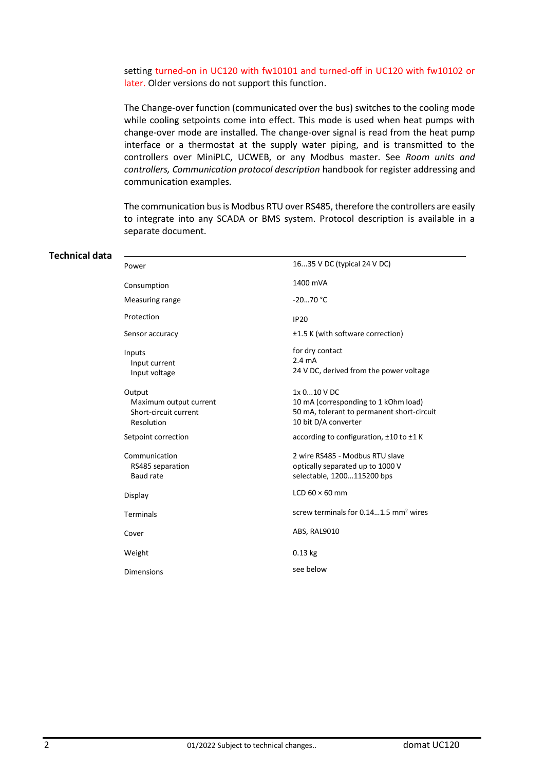setting turned-on in UC120 with fw10101 and turned-off in UC120 with fw10102 or later. Older versions do not support this function.

The Change-over function (communicated over the bus) switches to the cooling mode while cooling setpoints come into effect. This mode is used when heat pumps with change-over mode are installed. The change-over signal is read from the heat pump interface or a thermostat at the supply water piping, and is transmitted to the controllers over MiniPLC, UCWEB, or any Modbus master. See *Room units and controllers, Communication protocol description* handbook for register addressing and communication examples.

The communication bus is Modbus RTU over RS485, therefore the controllers are easily to integrate into any SCADA or BMS system. Protocol description is available in a separate document.

#### **Technical data**

| Power                                                                   | 1635 V DC (typical 24 V DC)                                                                                               |
|-------------------------------------------------------------------------|---------------------------------------------------------------------------------------------------------------------------|
| Consumption                                                             | 1400 mVA                                                                                                                  |
| Measuring range                                                         | $-2070 °C$                                                                                                                |
| Protection                                                              | <b>IP20</b>                                                                                                               |
| Sensor accuracy                                                         | ±1.5 K (with software correction)                                                                                         |
| Inputs<br>Input current<br>Input voltage                                | for dry contact<br>$2.4 \text{ mA}$<br>24 V DC, derived from the power voltage                                            |
| Output<br>Maximum output current<br>Short-circuit current<br>Resolution | 1x 010 V DC<br>10 mA (corresponding to 1 kOhm load)<br>50 mA, tolerant to permanent short-circuit<br>10 bit D/A converter |
| Setpoint correction                                                     | according to configuration, ±10 to ±1 K                                                                                   |
| Communication<br>RS485 separation<br>Baud rate                          | 2 wire RS485 - Modbus RTU slave<br>optically separated up to 1000 V<br>selectable, 1200115200 bps                         |
| Display                                                                 | LCD $60 \times 60$ mm                                                                                                     |
| <b>Terminals</b>                                                        | screw terminals for 0.141.5 mm <sup>2</sup> wires                                                                         |
| Cover                                                                   | ABS, RAL9010                                                                                                              |
| Weight                                                                  | $0.13$ kg                                                                                                                 |
| Dimensions                                                              | see below                                                                                                                 |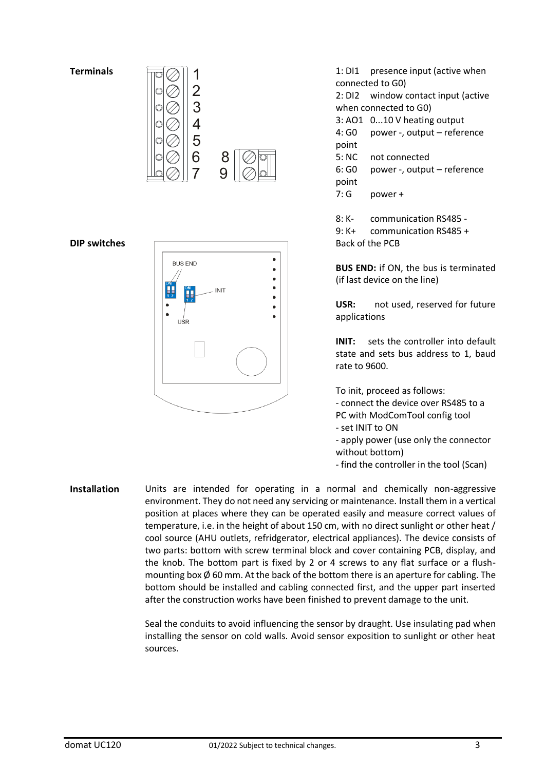#### **Terminals**





# **DIP switches** Back of the PCB **BUS END INIT**  $\bullet$ ٠ LISE

1: DI1 presence input (active when connected to G0) 2: DI2 window contact input (active when connected to G0) 3: AO1 0...10 V heating output 4: G0 power -, output – reference point 5: NC not connected 6: G0 power -, output – reference point 7: G power + 8: K- communication RS485 - 9: K+ communication RS485 +

**BUS END:** if ON, the bus is terminated (if last device on the line)

**USR:** not used, reserved for future applications

**INIT:** sets the controller into default state and sets bus address to 1, baud rate to 9600.

To init, proceed as follows: - connect the device over RS485 to a PC with ModComTool config tool - set INIT to ON - apply power (use only the connector

without bottom)

- find the controller in the tool (Scan)

**Installation** Units are intended for operating in a normal and chemically non-aggressive environment. They do not need any servicing or maintenance. Install them in a vertical position at places where they can be operated easily and measure correct values of temperature, i.e. in the height of about 150 cm, with no direct sunlight or other heat / cool source (AHU outlets, refridgerator, electrical appliances). The device consists of two parts: bottom with screw terminal block and cover containing PCB, display, and the knob. The bottom part is fixed by 2 or 4 screws to any flat surface or a flushmounting box  $\emptyset$  60 mm. At the back of the bottom there is an aperture for cabling. The bottom should be installed and cabling connected first, and the upper part inserted after the construction works have been finished to prevent damage to the unit.

> Seal the conduits to avoid influencing the sensor by draught. Use insulating pad when installing the sensor on cold walls. Avoid sensor exposition to sunlight or other heat sources.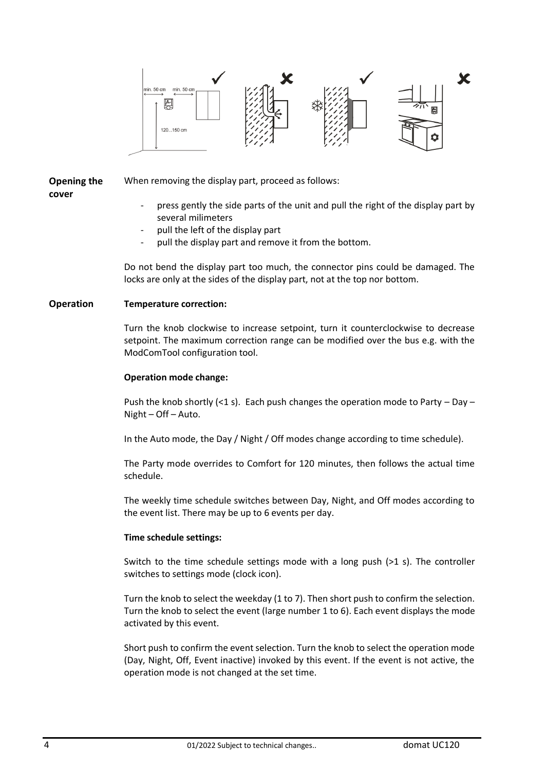

# **Opening the**

When removing the display part, proceed as follows:

- **cover**
- press gently the side parts of the unit and pull the right of the display part by several milimeters
- pull the left of the display part
- pull the display part and remove it from the bottom.

Do not bend the display part too much, the connector pins could be damaged. The locks are only at the sides of the display part, not at the top nor bottom.

### **Operation Temperature correction:**

Turn the knob clockwise to increase setpoint, turn it counterclockwise to decrease setpoint. The maximum correction range can be modified over the bus e.g. with the ModComTool configuration tool.

#### **Operation mode change:**

Push the knob shortly (<1 s). Each push changes the operation mode to Party – Day – Night – Off – Auto.

In the Auto mode, the Day / Night / Off modes change according to time schedule).

The Party mode overrides to Comfort for 120 minutes, then follows the actual time schedule.

The weekly time schedule switches between Day, Night, and Off modes according to the event list. There may be up to 6 events per day.

#### **Time schedule settings:**

Switch to the time schedule settings mode with a long push (>1 s). The controller switches to settings mode (clock icon).

Turn the knob to select the weekday (1 to 7). Then short push to confirm the selection. Turn the knob to select the event (large number 1 to 6). Each event displays the mode activated by this event.

Short push to confirm the event selection. Turn the knob to select the operation mode (Day, Night, Off, Event inactive) invoked by this event. If the event is not active, the operation mode is not changed at the set time.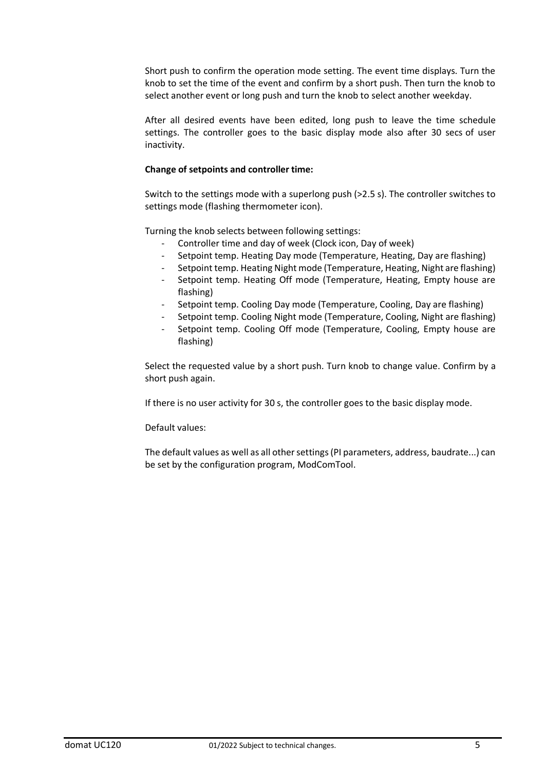Short push to confirm the operation mode setting. The event time displays. Turn the knob to set the time of the event and confirm by a short push. Then turn the knob to select another event or long push and turn the knob to select another weekday.

After all desired events have been edited, long push to leave the time schedule settings. The controller goes to the basic display mode also after 30 secs of user inactivity.

#### **Change of setpoints and controller time:**

Switch to the settings mode with a superlong push (>2.5 s). The controller switches to settings mode (flashing thermometer icon).

Turning the knob selects between following settings:

- Controller time and day of week (Clock icon, Day of week)
- Setpoint temp. Heating Day mode (Temperature, Heating, Day are flashing)
- Setpoint temp. Heating Night mode (Temperature, Heating, Night are flashing)
- Setpoint temp. Heating Off mode (Temperature, Heating, Empty house are flashing)
- Setpoint temp. Cooling Day mode (Temperature, Cooling, Day are flashing)
- Setpoint temp. Cooling Night mode (Temperature, Cooling, Night are flashing)
- Setpoint temp. Cooling Off mode (Temperature, Cooling, Empty house are flashing)

Select the requested value by a short push. Turn knob to change value. Confirm by a short push again.

If there is no user activity for 30 s, the controller goes to the basic display mode.

Default values:

The default values as well as all other settings (PI parameters, address, baudrate...) can be set by the configuration program, ModComTool.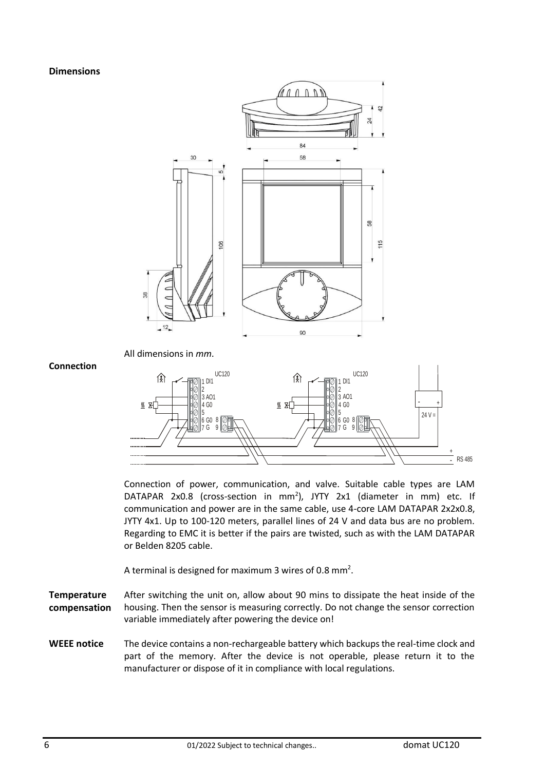**Dimensions**



**Connection**

Connection of power, communication, and valve. Suitable cable types are LAM DATAPAR 2x0.8 (cross-section in mm<sup>2</sup>), JYTY 2x1 (diameter in mm) etc. If communication and power are in the same cable, use 4-core LAM DATAPAR 2x2x0.8, JYTY 4x1. Up to 100-120 meters, parallel lines of 24 V and data bus are no problem. Regarding to EMC it is better if the pairs are twisted, such as with the LAM DATAPAR or Belden 8205 cable.

A terminal is designed for maximum 3 wires of 0.8 mm<sup>2</sup>.

**Temperature compensation** After switching the unit on, allow about 90 mins to dissipate the heat inside of the housing. Then the sensor is measuring correctly. Do not change the sensor correction variable immediately after powering the device on!

**WEEE notice** The device contains a non-rechargeable battery which backups the real-time clock and part of the memory. After the device is not operable, please return it to the manufacturer or dispose of it in compliance with local regulations.

RS 485

+ -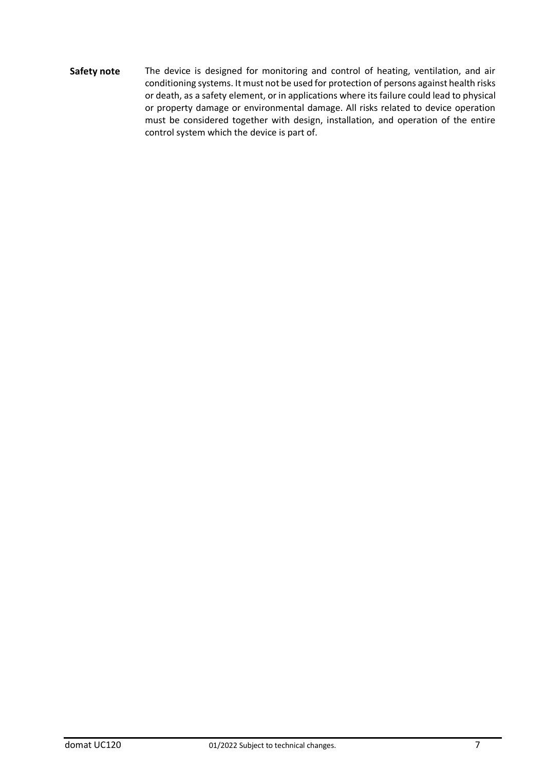Safety note The device is designed for monitoring and control of heating, ventilation, and air conditioning systems. It must not be used for protection of persons against health risks or death, as a safety element, or in applications where its failure could lead to physical or property damage or environmental damage. All risks related to device operation must be considered together with design, installation, and operation of the entire control system which the device is part of.